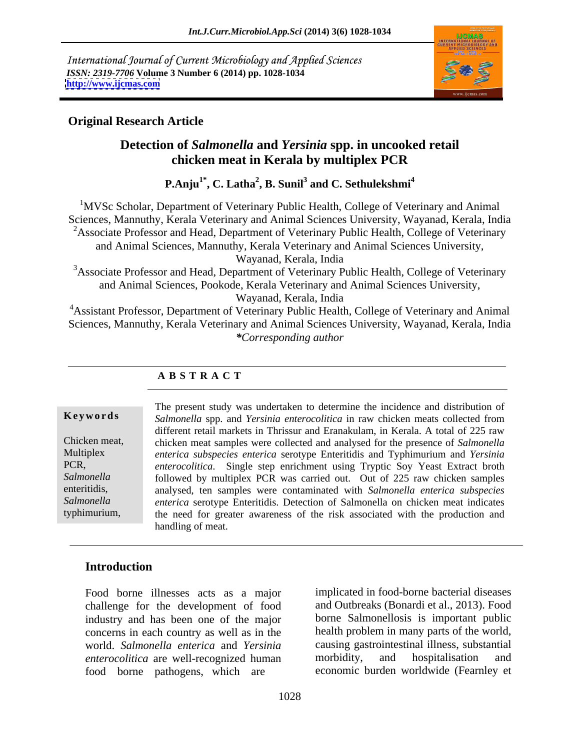International Journal of Current Microbiology and Applied Sciences *ISSN: 2319-7706* **Volume 3 Number 6 (2014) pp. 1028-1034 <http://www.ijcmas.com>**



### **Original Research Article**

# **Detection of** *Salmonella* **and** *Yersinia* **spp. in uncooked retail chicken meat in Kerala by multiplex PCR**

**P.Anju1\* , C. Latha<sup>2</sup> , B. Sunil<sup>3</sup> and C. Sethulekshmi<sup>4</sup>**

<sup>1</sup>MVSc Scholar, Department of Veterinary Public Health, College of Veterinary and Animal Sciences, Mannuthy, Kerala Veterinary and Animal Sciences University, Wayanad, Kerala, India <sup>2</sup>Associate Professor and Head, Department of Veterinary Public Health, College of Veterinary and Animal Sciences, Mannuthy, Kerala Veterinary and Animal Sciences University,

Wayanad, Kerala, India

<sup>3</sup>Associate Professor and Head, Department of Veterinary Public Health, College of Veterinary and Animal Sciences, Pookode, Kerala Veterinary and Animal Sciences University, Wayanad, Kerala, India

<sup>4</sup> Assistant Professor, Department of Veterinary Public Health, College of Veterinary and Animal Sciences, Mannuthy, Kerala Veterinary and Animal Sciences University, Wayanad, Kerala, India *\*Corresponding author*

## **A B S T R A C T**

**Ke ywo rds** *Salmonella* spp. and *Yersinia enterocolitica* in raw chicken meats collected from Chicken meat, chicken meat samples were collected and analysed for the presence of *Salmonella*  Multiplex *enterica subspecies enterica* serotype Enteritidis and Typhimurium and *Yersinia*  PCR, *enterocolitica*. Single step enrichment using Tryptic Soy Yeast Extract broth Salmonella followed by multiplex PCR was carried out. Out of 225 raw chicken samples enteritidis, analysed, ten samples were contaminated with *Salmonella enterica subspecies Salmonella enterica* serotype Enteritidis. Detection of Salmonella on chicken meat indicates typhimurium, the need for greater awareness of the risk associated with the production and The present study was undertaken to determine the incidence and distribution of different retail markets in Thrissur and Eranakulam, in Kerala. A total of 225 raw handling of meat.

# **Introduction**

Food borne illnesses acts as a major challenge for the development of food industry and has been one of the major concerns in each country as well as in the world. *Salmonella enterica* and *Yersinia* causing gastrointestinal illness, subs<br> *enterocolitica* are well-recognized human morbidity, and hospitalisation *enterocolitica* are well-recognized human morbidity, and hospitalisation and food borne pathogens, which are

implicated in food-borne bacterial diseases and Outbreaks (Bonardi et al., 2013). Food borne Salmonellosis is important public health problem in many parts of the world, causing gastrointestinal illness, substantial morbidity, and hospitalisation and economic burden worldwide (Fearnley et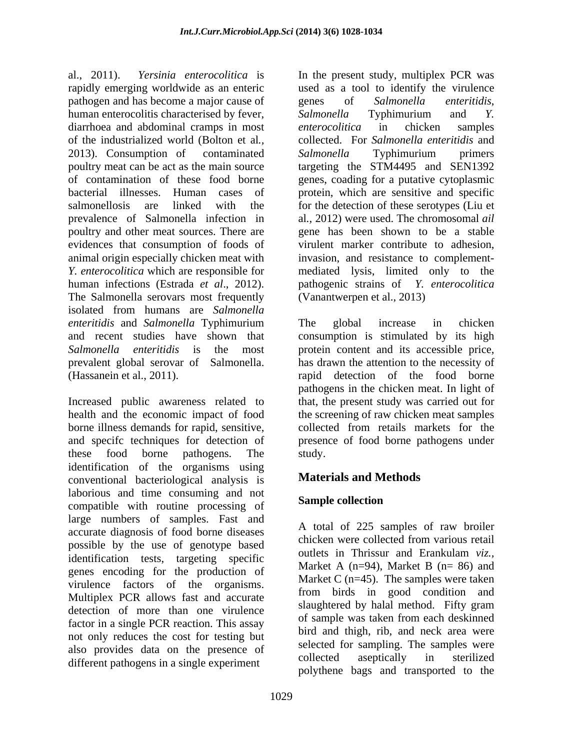al., 2011). *Yersinia enterocolitica* is In the present study, multiplex PCR was rapidly emerging worldwide as an enteric used as a tool to identify the virulence pathogen and has become a major cause of genes of Salmonella enteritidis, human enterocolitis characterised by fever, Salmonella Typhimurium and Y. diarrhoea and abdominal cramps in most *enterocolitica* in chicken samples of the industrialized world (Bolton et al*.,* collected. For *Salmonella enteritidis* and 2013). Consumption of contaminated Salmonella Typhimurium primers poultry meat can be act as the main source targeting the STM4495 and SEN1392 of contamination of these food borne genes, coading for a putative cytoplasmic bacterial illnesses. Human cases of protein, which are sensitive and specific salmonellosis are linked with the for the detection of these serotypes (Liu et prevalence of Salmonella infection in poultry and other meat sources. There are evidences that consumption of foods of animal origin especially chicken meat with *Y. enterocolitica* which are responsible for mediated lysis, limited only to the human infections (Estrada *et al*., 2012). pathogenic strains of *Y. enterocolitica* The Salmonella serovars most frequently isolated from humans are *Salmonella enteritidis* and *Salmonella* Typhimurium The global increase in chicken and recent studies have shown that consumption is stimulated by its high *Salmonella enteritidis* is the most protein content and its accessible price, prevalent global serovar of Salmonella. (Hassanein et al., 2011). rapid detection of the food borne

Increased public awareness related to that, the present study was carried out for health and the economic impact of food borne illness demands for rapid, sensitive, collected from retails markets for the and specifc techniques for detection of presence of food borne pathogens under these food borne pathogens. The identification of the organisms using<br>
conventional becteriological analysis is<br> **Materials and Methods** conventional bacteriological analysis is laborious and time consuming and not<br>example collection compatible with routine processing of large numbers of samples. Fast and accurate diagnosis of food borne diseases<br>chicken were collected from various retail possible by the use of genotype based<br>in Thrissur and Erankulam viz... identification tests, targeting specific genes encoding for the production of virulence factors of the organisms.<br>
Multiplex PCR allows fast and accurate  $\frac{\text{magenta}}{\text{from}}$  birds in good condition and detection of more than one virulence factor in a single PCR reaction. This assay not only reduces the cost for testing but also provides data on the presence of selected for sampling. The samples were<br>collected aseptically in sterilized different pathogens in a single experiment

genes of *Salmonella enteritidis*, *Salmonella* Typhimurium and *Y. enterocolitica* in chicken samples *Salmonella* Typhimurium primers al*.,* 2012) were used. The chromosomal *ail* gene has been shown to be a stable virulent marker contribute to adhesion, invasion, and resistance to complement- (Vanantwerpen et al., 2013)

The global increase in chicken has drawn the attention to the necessity of pathogens in the chicken meat. In light of the screening of raw chicken meat samples study.

## **Materials and Methods**

## **Sample collection**

A total of 225 samples of raw broiler chicken were collected from various retail outlets in Thrissur and Erankulam *viz.,* Market A ( $n=94$ ), Market B ( $n=86$ ) and Market C  $(n=45)$ . The samples were taken from birds in good condition and slaughtered by halal method. Fifty gram of sample was taken from each deskinned bird and thigh, rib, and neck area were selected for sampling. The samples were collected aseptically in sterilized polythene bags and transported to the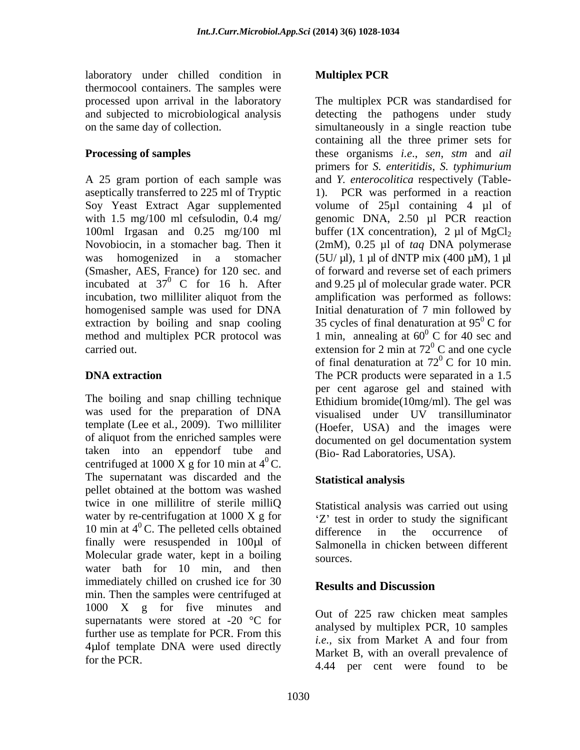laboratory under chilled condition in Multiplex PCR thermocool containers.The samples were processed upon arrival in the laboratory

The boiling and snap chilling technique was used for the preparation of DNA template (Lee et al*.,* 2009). Two milliliter of aliquot from the enriched samples were taken into an eppendorf tube and centrifuged at 1000 X g for 10 min at  $4^{\circ}$ C. The supernatant was discarded and the **Statistical analysis** pellet obtained at the bottom was washed twice in one millilitre of sterile milliQ Statistical analysis was carried out using water by re-centrifugation at  $1000 \text{ X g}$  for 10 min at  $4^{\circ}$ C. The pelleted cells obtained difference in the occurrence of 10 min at 4<sup>o</sup>C. The pelleted cells obtained<br>finally were resuspended in 100µl of Salmonella in chicken between diffe Molecular grade water, kept in a boiling sources. water bath for 10 min, and then immediately chilled on crushed ice for 30 Results and Discussion min. Then the samples were centrifuged at 1000 X g for five minutes and supernatants were stored at  $-20$  °C for further use as template for PCR. From this analysed by multiplex TCR, To samples 4µlof template DNA were used directly

### **Multiplex PCR**

and subjected to microbiological analysis detecting the pathogens under study on the same day of collection. simultaneously in a single reaction tube **Processing of samples** these organisms *i.e*., *sen*, *stm* and *ail*  A 25 gram portion of each sample was and *Y. enterocolitica* respectively (Table aseptically transferred to 225 ml of Tryptic 1). PCR was performed in a reaction Soy Yeast Extract Agar supplemented volume of 25µl containing 4 µl of with 1.5 mg/100 ml cefsulodin, 0.4 mg/ genomic DNA, 2.50 µl PCR reaction 100ml Irgasan and 0.25 mg/100 ml buffer  $(1X)$  concentration),  $2 \mu$ l of MgCl<sub>2</sub> Novobiocin, in a stomacher bag. Then it (2mM), 0.25 µl of *taq* DNA polymerase was homogenized in a stomacher  $(5U/\mu l)$ , 1  $\mu l$  of dNTP mix (400  $\mu$ M), 1  $\mu l$ (Smasher, AES, France) for 120 sec. and of forward and reverse set of each primers incubated at  $37^0$  C for 16 h. After and 9.25 µl of molecular grade water. PCR incubation, two milliliter aliquot from the amplification was performed as follows: homogenised sample was used for DNA Initial denaturation of 7 min followed by extraction by boiling and snap cooling  $\qquad 35$  cycles of final denaturation at  $95^{\circ}$  C for method and multiplex PCR protocol was  $\qquad 1 \text{ min}$ , annealing at  $60^{\circ}$  C for 40 sec and carried out.  $\qquad \qquad$  extension for 2 min at 72<sup>°</sup> C and one cycle **DNA extraction** The PCR products were separated in a 1.5 The multiplex PCR was standardised for containing all the three primer sets for primers for *S. enteritidis*, *S. typhimurium*  $\rm ^{0}$  C for  $0 \text{ C}$  for 40 sec and  $^{0}$  C and one cycle of final denaturation at  $72^{\circ}$  C for 10 min.  $^{0}$  C for 10 min. per cent agarose gel and stained with Ethidium bromide(10mg/ml). The gel was visualised under UV transilluminator (Hoefer, USA) and the images were documented on gel documentation system (Bio- Rad Laboratories, USA).

### **Statistical analysis**

Statistical analysis was carried out using  $Z'$  test in order to study the significant difference in the occurrence of Salmonella in chicken between different sources.

## **Results and Discussion**

for the PCR.<br>
4.44 per cent were found to be Out of 225 raw chicken meat samples analysed by multiplex PCR, 10 samples *i.e.,* six from Market A and four from Market B, with an overall prevalence of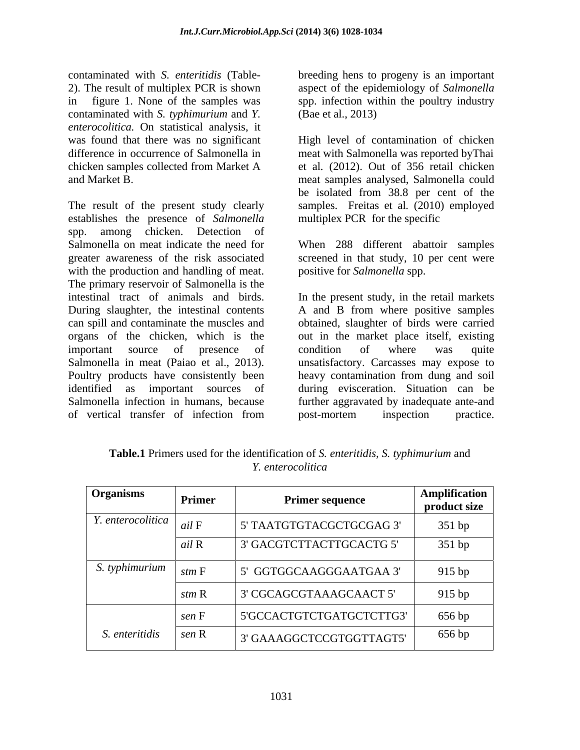contaminated with *S. typhimurium* and *Y. enterocolitica.* On statistical analysis, it

The result of the present study clearly establishes the presence of *Salmonella* spp. among chicken. Detection of Salmonella on meat indicate the need for When 288 different abattoir samples greater awareness of the risk associated screened in that study, 10 per cent were with the production and handling of meat. The primary reservoir of Salmonella is the intestinal tract of animals and birds. In the present study, in the retail markets<br>During slaughter, the intestinal contents A and B from where positive samples can spill and contaminate the muscles and obtained, slaughter of birds were carried organs of the chicken, which is the outin the market place itself, existing important source of presence of condition of where was quite Salmonella in meat (Paiao et al., 2013). Insatisfactory. Carcasses may expose to Poultry products have consistently been beavy contamination from dung and soil identified as important sources of during evisceration. Situation can be Salmonella infection in humans, because further aggravated by inadequate ante-and of vertical transfer of infection from

contaminated with *S. enteritidis* (Table- breeding hens to progeny is an important 2). The result of multiplex PCR is shown aspect of the epidemiology of *Salmonella* in figure 1. None of the samples was spp. infection within the poultry industry (Bae et al., 2013)

was found that there was no significant High level of contamination of chicken difference in occurrence of Salmonella in meat with Salmonella was reported byThai chicken samples collected from Market A and Market B. meat samples analysed, Salmonella could et al*.* (2012). Out of 356 retail chicken be isolated from 38.8 per cent of the samples. Freitas et al*.* (2010) employed multiplex PCR for the specific

positive for *Salmonella* spp.

In the present study, in the retail markets A and B from where positive samples condition of where was quite unsatisfactory. Carcasses may expose to heavy contamination from dung and soil post-mortem inspection practice.

| <b>Organisms</b>                       | Primer | <b>Primer sequence</b>               | Amplification<br>product size |
|----------------------------------------|--------|--------------------------------------|-------------------------------|
| $\mid$ <i>Y.</i> enterocolitica $\mid$ | ail F  | 5' TAATGTGTACGCTGCGAG 3'             | 351 bp                        |
|                                        | ail R  | 3' GACGTCTTACTTGCACTG 5'             | 351 bp                        |
| S. typhimurium                         | stm F  | <sup>1</sup> 5' GGTGGCAAGGGAATGAA 3' | 915 bp                        |
|                                        | stm R  | 3' CGCAGCGTAAAGCAACT 5'              | 915 bp                        |
|                                        | sen F  | 5'GCCACTGTCTGATGCTCTTG3'             | 656 bp                        |
| S. enteritidis                         | sen R  | 3' GAAAGGCTCCGTGGTTAGT5'             | 656 bp                        |

**Table.1** Primers used for the identification of *S. enteritidis, S. typhimurium* and *Y. enterocolitica*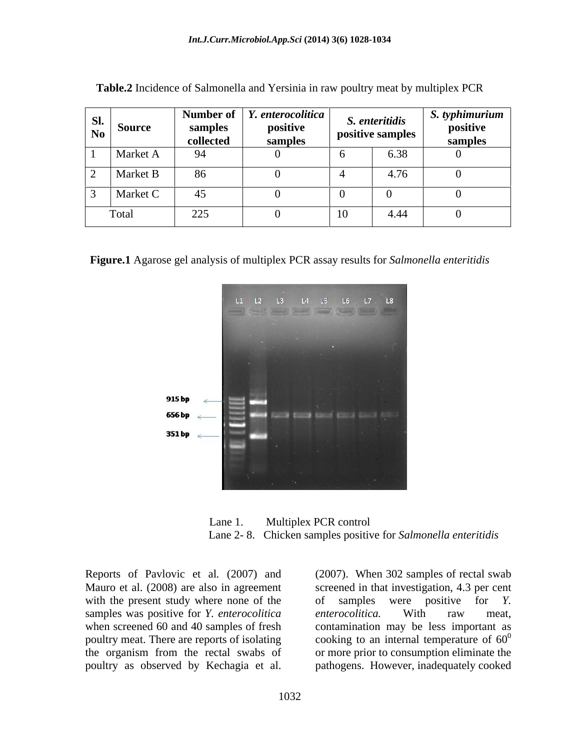| SI.<br>$N_0$ | <b>Source</b>   | samples<br>collected | Number of   $Y$ . enterocolitica  <br>positive<br>samples | S. enteritidis<br>positive samples | $S.$ typhimurium<br>positive<br>−sample |
|--------------|-----------------|----------------------|-----------------------------------------------------------|------------------------------------|-----------------------------------------|
|              | <b>Market A</b> | 94                   |                                                           | 6.38                               |                                         |
|              | Market B        | 86                   |                                                           | $\sqrt{7}$                         |                                         |
|              | Market C        | $\Lambda$            |                                                           |                                    |                                         |
|              | Total           | 225                  |                                                           | 4.44                               |                                         |

**Table.2** Incidence of Salmonella and Yersinia in raw poultry meat by multiplex PCR

**Figure.1** Agarose gel analysis of multiplex PCR assay results for *Salmonella enteritidis*



Lane 1. Multiplex PCR control Lane 2- 8. Chicken samples positive for *Salmonella enteritidis*

with the present study where none of the  $\qquad$  of samples were positive for Y. samples was positive for *Y. enterocolitica* enterocolitica. With raw meat,

Reports of Pavlovic et al*.* (2007) and Mauro et al. (2008) are also in agreement screened in that investigation, 4.3 per cent when screened 60 and 40 samples of fresh contamination may be less important as poultry meat. There are reports of isolating  $\qquad \qquad$  cooking to an internal temperature of 60<sup>0</sup> the organism from the rectal swabs of or more prior to consumption eliminate the Reports of Pavlovic et al. (2007) and (2007). When 302 samples of rectal swab<br>Mauro et al. (2008) are also in agreement with the present study where none of the were positive for *Y*.<br>samples was positive for *Y. enteroco* of samples were positive for *Y. enterocolitica.* With raw meat, 0 pathogens. However, inadequately cooked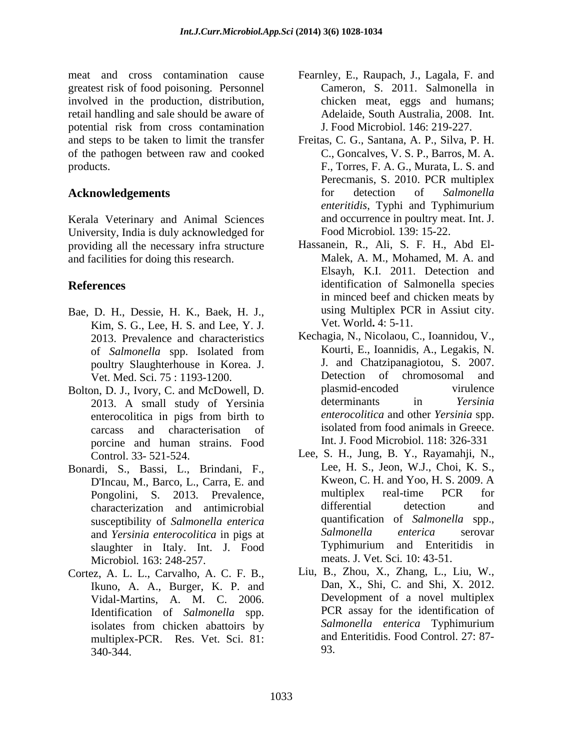meat and cross contamination cause Fearnley, E., Raupach, J.,Lagala, F. and greatest risk of food poisoning. Personnel involved in the production, distribution, chicken meat, eggs and humans;<br>retail handling and sale should be aware of Adelaide, South Australia, 2008. Int. potential risk from cross contamination J. Food Microbiol. 146: 219-227. and steps to be taken to limit the transfer Freitas, C. G., Santana, A. P., Silva, P. H. of the pathogen between raw and cooked products. F., Torres, F. A. G., Murata, L. S. and

Kerala Veterinary and Animal Sciences University, India is duly acknowledged for providing all the necessary infrastructure and facilities for doing this research.

- Bae, D. H., Dessie, H. K., Baek, H. J., Kim, S. G., Lee, H. S. and Lee, Y. J. 2013. Prevalence and characteristics
- Bolton, D. J., Ivory, C. and McDowell, D.<br>
2013 A small study of Yersinia determinants in *Yersinia* 2013. A small study of Yersinia porcine and human strains. Food
- Bonardi, S., Bassi, L., Brindani, F., Pongolini, S. 2013. Prevalence, multiplex real-time P<br>characterization and antimicrobial differential detection susceptibility of *Salmonella enterica* quantification<br>and *Yersinia enterocolitica* in pigs at *Salmonella* slaughter in Italy. Int. J. Food Microbiol*.* 163: 248-257.
- Cortez, A. L. L., Carvalho, A. C. F. B., Ikuno, A. A., Burger, K. P. and Vidal-Martins, A. M. C. 2006. multiplex-PCR. Res. Vet. Sci. 81: 340-344.
- Cameron, S. 2011. Salmonella in chicken meat, eggs and humans; Adelaide, South Australia, 2008. Int. J. Food Microbiol. 146: 219-227.
- **Acknowledgements** for detection of *Salmonella*<br>*enteritidis*, Typhi and Typhimurium C., Goncalves, V. S. P., Barros, M. A. Perecmanis, S. 2010. PCR multiplex for detection of *Salmonella enteritidis*, Typhi and Typhimurium and occurrence in poultry meat. Int. J. Food Microbiol*.* 139: 15-22.
- **References** identification of Salmonella species Hassanein, R., Ali, S. F. H., Abd El- Malek, A. M., Mohamed, M. A. and Elsayh, K.I. 2011. Detection and in minced beef and chicken meats by using Multiplex PCR in Assiut city. Vet. World**.** 4: 5-11.
	- of *Salmonella* spp. Isolated from poultry Slaughterhouse in Korea. J. J. and Chatzipanagiotou, S. 2007.<br>Vet Med Sci 75:1193-1200 Detection of chromosomal and Vet. Med. Sci. 75 : 1193-1200. Detection of chromosomal and<br>
	Note that the plasmid-encoded virulence<br>
	Very C and McDowell D plasmid-encoded virulence enterocolitica in pigs from birth to *enterocolitica* and other Yersinia spp. carcass and characterisation of isolated from food animals in Greece. Kechagia, N., Nicolaou, C., Ioannidou, V., Kourti, E., Ioannidis, A., Legakis, N. J. and Chatzipanagiotou, S. 2007. Detection of chromosomal plasmid-encoded virulence determinants in *Yersinia enterocolitica* and other *Yersinia* spp. isolated from food animals in Greece. Int. J. Food Microbiol. 118: 326-331
	- Control. 33- 521-524. Lee, S. H., Jung, B. Y., Rayamahji, N., D'Incau, M., Barco, L., Carra, E. and Kweon, C. H. and Yoo, H. S. 2009. A<br>
	Pongolini S. 2013 Prevalence multiplex real-time PCR for characterization and antimicrobial and *Yersinia enterocolitica* in pigs at *Salmonella enterica* serovar<br>
	slaughter in Italy Int I Food **Typhimurium** and Enteritidis in Lee, H. S., Jeon, W.J., Choi, K. S., Kweon, C. H. and Yoo, H. S. 2009. A multiplex real-time PCR for differential detection and quantification of *Salmonella* spp., *Salmonella enterica* serovar Typhimurium and Enteritidis in meats. J. Vet. Sci*.* 10: 43-51.
	- Identification of *Salmonella* spp.<br>
	In Interval and *Salmonella enterica* Typhimurium<br>
	Salmonella enterica Typhimurium isolates from chicken abattoirs by Salmonella enterica Typhimurium Liu, B., Zhou, X., Zhang, L., Liu, W., Dan, X., Shi, C. and Shi, X. 2012. Development of a novel multiplex PCR assay for the identification of *Salmonella enterica* Typhimurium and Enteritidis. Food Control. 27: 87- 93.